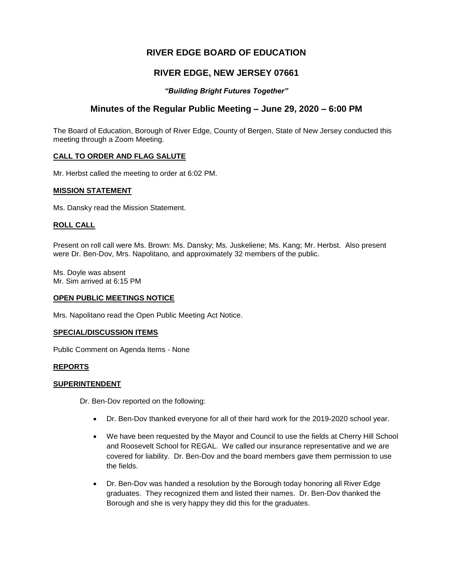# **RIVER EDGE BOARD OF EDUCATION**

# **RIVER EDGE, NEW JERSEY 07661**

### *"Building Bright Futures Together"*

## **Minutes of the Regular Public Meeting – June 29, 2020 – 6:00 PM**

The Board of Education, Borough of River Edge, County of Bergen, State of New Jersey conducted this meeting through a Zoom Meeting.

### **CALL TO ORDER AND FLAG SALUTE**

Mr. Herbst called the meeting to order at 6:02 PM.

#### **MISSION STATEMENT**

Ms. Dansky read the Mission Statement.

#### **ROLL CALL**

Present on roll call were Ms. Brown: Ms. Dansky; Ms. Juskeliene; Ms. Kang; Mr. Herbst. Also present were Dr. Ben-Dov, Mrs. Napolitano, and approximately 32 members of the public.

Ms. Doyle was absent Mr. Sim arrived at 6:15 PM

#### **OPEN PUBLIC MEETINGS NOTICE**

Mrs. Napolitano read the Open Public Meeting Act Notice.

#### **SPECIAL/DISCUSSION ITEMS**

Public Comment on Agenda Items - None

#### **REPORTS**

#### **SUPERINTENDENT**

Dr. Ben-Dov reported on the following:

- Dr. Ben-Dov thanked everyone for all of their hard work for the 2019-2020 school year.
- We have been requested by the Mayor and Council to use the fields at Cherry Hill School and Roosevelt School for REGAL. We called our insurance representative and we are covered for liability. Dr. Ben-Dov and the board members gave them permission to use the fields.
- Dr. Ben-Dov was handed a resolution by the Borough today honoring all River Edge graduates. They recognized them and listed their names. Dr. Ben-Dov thanked the Borough and she is very happy they did this for the graduates.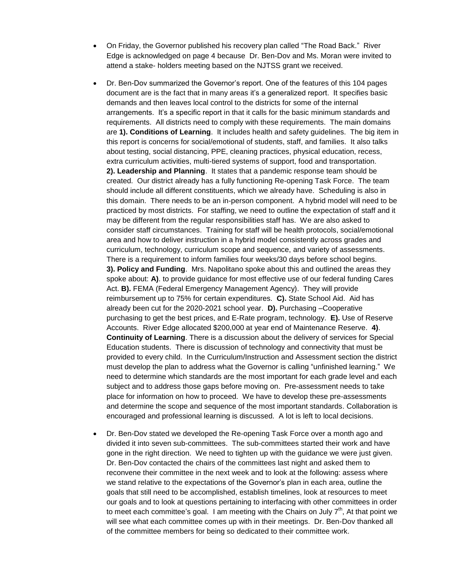- On Friday, the Governor published his recovery plan called "The Road Back." River Edge is acknowledged on page 4 because Dr. Ben-Dov and Ms. Moran were invited to attend a stake- holders meeting based on the NJTSS grant we received.
- Dr. Ben-Dov summarized the Governor's report. One of the features of this 104 pages document are is the fact that in many areas it's a generalized report. It specifies basic demands and then leaves local control to the districts for some of the internal arrangements. It's a specific report in that it calls for the basic minimum standards and requirements. All districts need to comply with these requirements. The main domains are **1). Conditions of Learning**. It includes health and safety guidelines. The big item in this report is concerns for social/emotional of students, staff, and families. It also talks about testing, social distancing, PPE, cleaning practices, physical education, recess, extra curriculum activities, multi-tiered systems of support, food and transportation. **2). Leadership and Planning**. It states that a pandemic response team should be created. Our district already has a fully functioning Re-opening Task Force. The team should include all different constituents, which we already have. Scheduling is also in this domain. There needs to be an in-person component. A hybrid model will need to be practiced by most districts. For staffing, we need to outline the expectation of staff and it may be different from the regular responsibilities staff has. We are also asked to consider staff circumstances. Training for staff will be health protocols, social/emotional area and how to deliver instruction in a hybrid model consistently across grades and curriculum, technology, curriculum scope and sequence, and variety of assessments. There is a requirement to inform families four weeks/30 days before school begins. **3). Policy and Funding**. Mrs. Napolitano spoke about this and outlined the areas they spoke about: **A)**. to provide guidance for most effective use of our federal funding Cares Act. **B).** FEMA (Federal Emergency Management Agency). They will provide reimbursement up to 75% for certain expenditures. **C).** State School Aid. Aid has already been cut for the 2020-2021 school year. **D).** Purchasing –Cooperative purchasing to get the best prices, and E-Rate program, technology. **E).** Use of Reserve Accounts. River Edge allocated \$200,000 at year end of Maintenance Reserve. **4)**. **Continuity of Learning**. There is a discussion about the delivery of services for Special Education students. There is discussion of technology and connectivity that must be provided to every child. In the Curriculum/Instruction and Assessment section the district must develop the plan to address what the Governor is calling "unfinished learning." We need to determine which standards are the most important for each grade level and each subject and to address those gaps before moving on. Pre-assessment needs to take place for information on how to proceed. We have to develop these pre-assessments and determine the scope and sequence of the most important standards. Collaboration is encouraged and professional learning is discussed. A lot is left to local decisions.
- Dr. Ben-Dov stated we developed the Re-opening Task Force over a month ago and divided it into seven sub-committees. The sub-committees started their work and have gone in the right direction. We need to tighten up with the guidance we were just given. Dr. Ben-Dov contacted the chairs of the committees last night and asked them to reconvene their committee in the next week and to look at the following: assess where we stand relative to the expectations of the Governor's plan in each area, outline the goals that still need to be accomplished, establish timelines, look at resources to meet our goals and to look at questions pertaining to interfacing with other committees in order to meet each committee's goal. I am meeting with the Chairs on July  $7<sup>th</sup>$ , At that point we will see what each committee comes up with in their meetings. Dr. Ben-Dov thanked all of the committee members for being so dedicated to their committee work.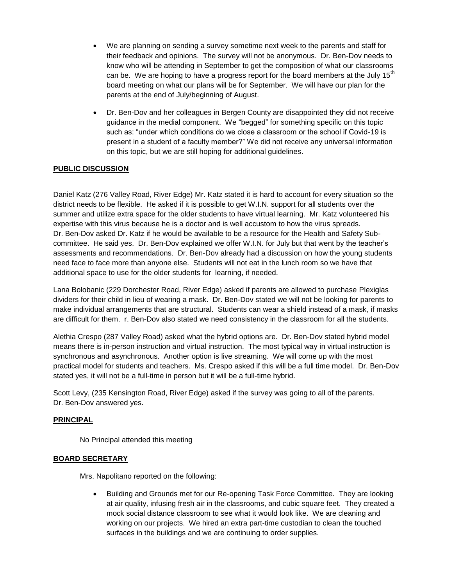- We are planning on sending a survey sometime next week to the parents and staff for their feedback and opinions. The survey will not be anonymous. Dr. Ben-Dov needs to know who will be attending in September to get the composition of what our classrooms can be. We are hoping to have a progress report for the board members at the July 15<sup>th</sup> board meeting on what our plans will be for September. We will have our plan for the parents at the end of July/beginning of August.
- Dr. Ben-Dov and her colleagues in Bergen County are disappointed they did not receive guidance in the medial component. We "begged" for something specific on this topic such as: "under which conditions do we close a classroom or the school if Covid-19 is present in a student of a faculty member?" We did not receive any universal information on this topic, but we are still hoping for additional guidelines.

## **PUBLIC DISCUSSION**

Daniel Katz (276 Valley Road, River Edge) Mr. Katz stated it is hard to account for every situation so the district needs to be flexible. He asked if it is possible to get W.I.N. support for all students over the summer and utilize extra space for the older students to have virtual learning. Mr. Katz volunteered his expertise with this virus because he is a doctor and is well accustom to how the virus spreads. Dr. Ben-Dov asked Dr. Katz if he would be available to be a resource for the Health and Safety Subcommittee. He said yes. Dr. Ben-Dov explained we offer W.I.N. for July but that went by the teacher's assessments and recommendations. Dr. Ben-Dov already had a discussion on how the young students need face to face more than anyone else. Students will not eat in the lunch room so we have that additional space to use for the older students for learning, if needed.

Lana Bolobanic (229 Dorchester Road, River Edge) asked if parents are allowed to purchase Plexiglas dividers for their child in lieu of wearing a mask. Dr. Ben-Dov stated we will not be looking for parents to make individual arrangements that are structural. Students can wear a shield instead of a mask, if masks are difficult for them. r. Ben-Dov also stated we need consistency in the classroom for all the students.

Alethia Crespo (287 Valley Road) asked what the hybrid options are. Dr. Ben-Dov stated hybrid model means there is in-person instruction and virtual instruction. The most typical way in virtual instruction is synchronous and asynchronous. Another option is live streaming. We will come up with the most practical model for students and teachers. Ms. Crespo asked if this will be a full time model. Dr. Ben-Dov stated yes, it will not be a full-time in person but it will be a full-time hybrid.

Scott Levy, (235 Kensington Road, River Edge) asked if the survey was going to all of the parents. Dr. Ben-Dov answered yes.

### **PRINCIPAL**

No Principal attended this meeting

#### **BOARD SECRETARY**

Mrs. Napolitano reported on the following:

 Building and Grounds met for our Re-opening Task Force Committee. They are looking at air quality, infusing fresh air in the classrooms, and cubic square feet. They created a mock social distance classroom to see what it would look like. We are cleaning and working on our projects. We hired an extra part-time custodian to clean the touched surfaces in the buildings and we are continuing to order supplies.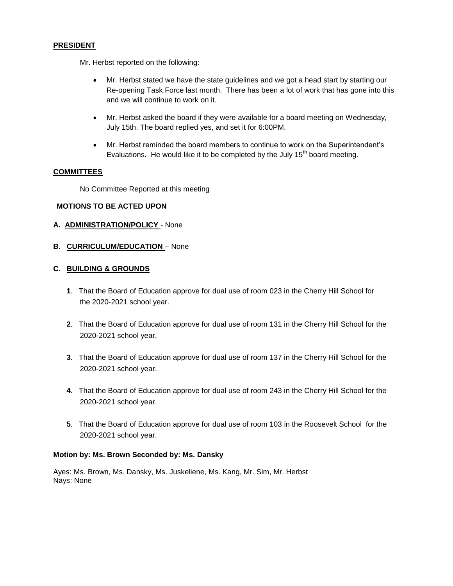### **PRESIDENT**

Mr. Herbst reported on the following:

- Mr. Herbst stated we have the state guidelines and we got a head start by starting our Re-opening Task Force last month. There has been a lot of work that has gone into this and we will continue to work on it.
- Mr. Herbst asked the board if they were available for a board meeting on Wednesday, July 15th. The board replied yes, and set it for 6:00PM.
- Mr. Herbst reminded the board members to continue to work on the Superintendent's Evaluations. He would like it to be completed by the July  $15<sup>th</sup>$  board meeting.

### **COMMITTEES**

No Committee Reported at this meeting

## **MOTIONS TO BE ACTED UPON**

### **A. ADMINISTRATION/POLICY** - None

**B. CURRICULUM/EDUCATION - None** 

## **C. BUILDING & GROUNDS**

- **1**. That the Board of Education approve for dual use of room 023 in the Cherry Hill School for the 2020-2021 school year.
- **2**. That the Board of Education approve for dual use of room 131 in the Cherry Hill School for the 2020-2021 school year.
- **3**. That the Board of Education approve for dual use of room 137 in the Cherry Hill School for the 2020-2021 school year.
- **4**. That the Board of Education approve for dual use of room 243 in the Cherry Hill School for the 2020-2021 school year.
- **5**. That the Board of Education approve for dual use of room 103 in the Roosevelt School for the 2020-2021 school year.

#### **Motion by: Ms. Brown Seconded by: Ms. Dansky**

Ayes: Ms. Brown, Ms. Dansky, Ms. Juskeliene, Ms. Kang, Mr. Sim, Mr. Herbst Nays: None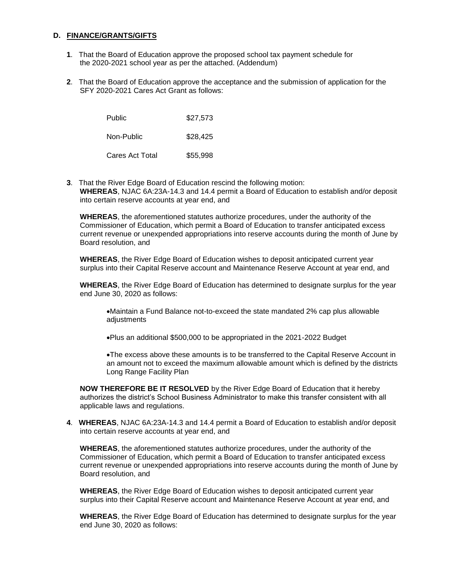#### **D. FINANCE/GRANTS/GIFTS**

- **1**. That the Board of Education approve the proposed school tax payment schedule for the 2020-2021 school year as per the attached. (Addendum)
- **2**. That the Board of Education approve the acceptance and the submission of application for the SFY 2020-2021 Cares Act Grant as follows:

| Public<br>Non-Public | \$27,573 |
|----------------------|----------|
|                      | \$28.425 |
| Cares Act Total      | \$55,998 |

**3**. That the River Edge Board of Education rescind the following motion: **WHEREAS**, NJAC 6A:23A-14.3 and 14.4 permit a Board of Education to establish and/or deposit into certain reserve accounts at year end, and

**WHEREAS**, the aforementioned statutes authorize procedures, under the authority of the Commissioner of Education, which permit a Board of Education to transfer anticipated excess current revenue or unexpended appropriations into reserve accounts during the month of June by Board resolution, and

**WHEREAS**, the River Edge Board of Education wishes to deposit anticipated current year surplus into their Capital Reserve account and Maintenance Reserve Account at year end, and

**WHEREAS**, the River Edge Board of Education has determined to designate surplus for the year end June 30, 2020 as follows:

Maintain a Fund Balance not-to-exceed the state mandated 2% cap plus allowable adjustments

Plus an additional \$500,000 to be appropriated in the 2021-2022 Budget

The excess above these amounts is to be transferred to the Capital Reserve Account in an amount not to exceed the maximum allowable amount which is defined by the districts Long Range Facility Plan

**NOW THEREFORE BE IT RESOLVED** by the River Edge Board of Education that it hereby authorizes the district's School Business Administrator to make this transfer consistent with all applicable laws and regulations.

**4**. **WHEREAS**, NJAC 6A:23A-14.3 and 14.4 permit a Board of Education to establish and/or deposit into certain reserve accounts at year end, and

**WHEREAS**, the aforementioned statutes authorize procedures, under the authority of the Commissioner of Education, which permit a Board of Education to transfer anticipated excess current revenue or unexpended appropriations into reserve accounts during the month of June by Board resolution, and

**WHEREAS**, the River Edge Board of Education wishes to deposit anticipated current year surplus into their Capital Reserve account and Maintenance Reserve Account at year end, and

**WHEREAS**, the River Edge Board of Education has determined to designate surplus for the year end June 30, 2020 as follows: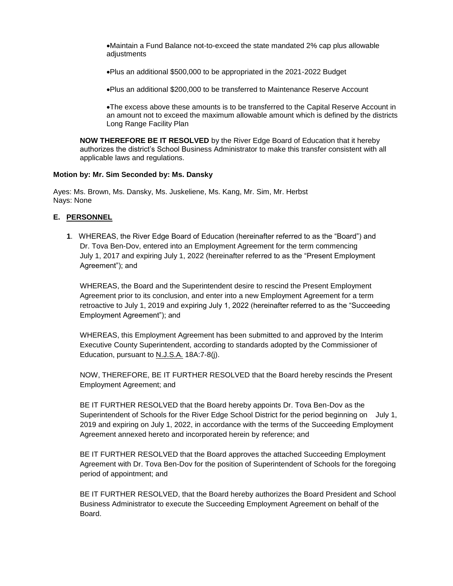Maintain a Fund Balance not-to-exceed the state mandated 2% cap plus allowable adiustments

Plus an additional \$500,000 to be appropriated in the 2021-2022 Budget

Plus an additional \$200,000 to be transferred to Maintenance Reserve Account

The excess above these amounts is to be transferred to the Capital Reserve Account in an amount not to exceed the maximum allowable amount which is defined by the districts Long Range Facility Plan

**NOW THEREFORE BE IT RESOLVED** by the River Edge Board of Education that it hereby authorizes the district's School Business Administrator to make this transfer consistent with all applicable laws and regulations.

#### **Motion by: Mr. Sim Seconded by: Ms. Dansky**

Ayes: Ms. Brown, Ms. Dansky, Ms. Juskeliene, Ms. Kang, Mr. Sim, Mr. Herbst Nays: None

### **E. PERSONNEL**

**1**. WHEREAS, the River Edge Board of Education (hereinafter referred to as the "Board") and Dr. Tova Ben-Dov, entered into an Employment Agreement for the term commencing July 1, 2017 and expiring July 1, 2022 (hereinafter referred to as the "Present Employment Agreement"); and

WHEREAS, the Board and the Superintendent desire to rescind the Present Employment Agreement prior to its conclusion, and enter into a new Employment Agreement for a term retroactive to July 1, 2019 and expiring July 1, 2022 (hereinafter referred to as the "Succeeding Employment Agreement"); and

WHEREAS, this Employment Agreement has been submitted to and approved by the Interim Executive County Superintendent, according to standards adopted by the Commissioner of Education, pursuant to N.J.S.A. 18A:7-8(j).

NOW, THEREFORE, BE IT FURTHER RESOLVED that the Board hereby rescinds the Present Employment Agreement; and

BE IT FURTHER RESOLVED that the Board hereby appoints Dr. Tova Ben-Dov as the Superintendent of Schools for the River Edge School District for the period beginning on July 1, 2019 and expiring on July 1, 2022, in accordance with the terms of the Succeeding Employment Agreement annexed hereto and incorporated herein by reference; and

BE IT FURTHER RESOLVED that the Board approves the attached Succeeding Employment Agreement with Dr. Tova Ben-Dov for the position of Superintendent of Schools for the foregoing period of appointment; and

BE IT FURTHER RESOLVED, that the Board hereby authorizes the Board President and School Business Administrator to execute the Succeeding Employment Agreement on behalf of the Board.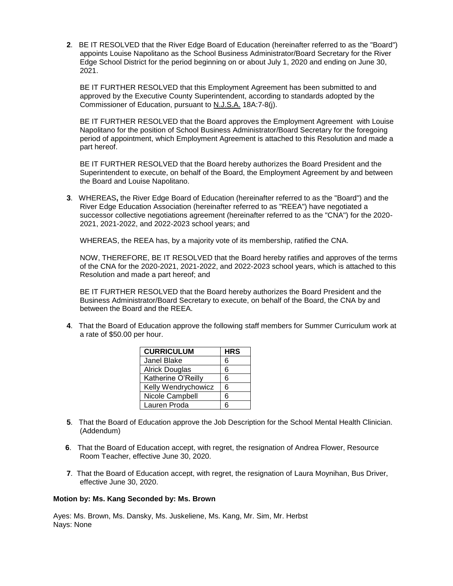**2**. BE IT RESOLVED that the River Edge Board of Education (hereinafter referred to as the "Board") appoints Louise Napolitano as the School Business Administrator/Board Secretary for the River Edge School District for the period beginning on or about July 1, 2020 and ending on June 30, 2021.

BE IT FURTHER RESOLVED that this Employment Agreement has been submitted to and approved by the Executive County Superintendent, according to standards adopted by the Commissioner of Education, pursuant to N.J.S.A. 18A:7-8(j).

BE IT FURTHER RESOLVED that the Board approves the Employment Agreement with Louise Napolitano for the position of School Business Administrator/Board Secretary for the foregoing period of appointment, which Employment Agreement is attached to this Resolution and made a part hereof.

BE IT FURTHER RESOLVED that the Board hereby authorizes the Board President and the Superintendent to execute, on behalf of the Board, the Employment Agreement by and between the Board and Louise Napolitano.

**3**. WHEREAS**,** the River Edge Board of Education (hereinafter referred to as the "Board") and the River Edge Education Association (hereinafter referred to as "REEA") have negotiated a successor collective negotiations agreement (hereinafter referred to as the "CNA") for the 2020- 2021, 2021-2022, and 2022-2023 school years; and

WHEREAS, the REEA has, by a majority vote of its membership, ratified the CNA.

NOW, THEREFORE, BE IT RESOLVED that the Board hereby ratifies and approves of the terms of the CNA for the 2020-2021, 2021-2022, and 2022-2023 school years, which is attached to this Resolution and made a part hereof; and

BE IT FURTHER RESOLVED that the Board hereby authorizes the Board President and the Business Administrator/Board Secretary to execute, on behalf of the Board, the CNA by and between the Board and the REEA.

**4**. That the Board of Education approve the following staff members for Summer Curriculum work at a rate of \$50.00 per hour.

| <b>HRS</b> |
|------------|
| 6          |
| 6          |
| 6          |
| 6          |
| 6          |
| 6          |
|            |

- **5**. That the Board of Education approve the Job Description for the School Mental Health Clinician. (Addendum)
- **6**. That the Board of Education accept, with regret, the resignation of Andrea Flower, Resource Room Teacher, effective June 30, 2020.
- **7**. That the Board of Education accept, with regret, the resignation of Laura Moynihan, Bus Driver, effective June 30, 2020.

#### **Motion by: Ms. Kang Seconded by: Ms. Brown**

Ayes: Ms. Brown, Ms. Dansky, Ms. Juskeliene, Ms. Kang, Mr. Sim, Mr. Herbst Nays: None